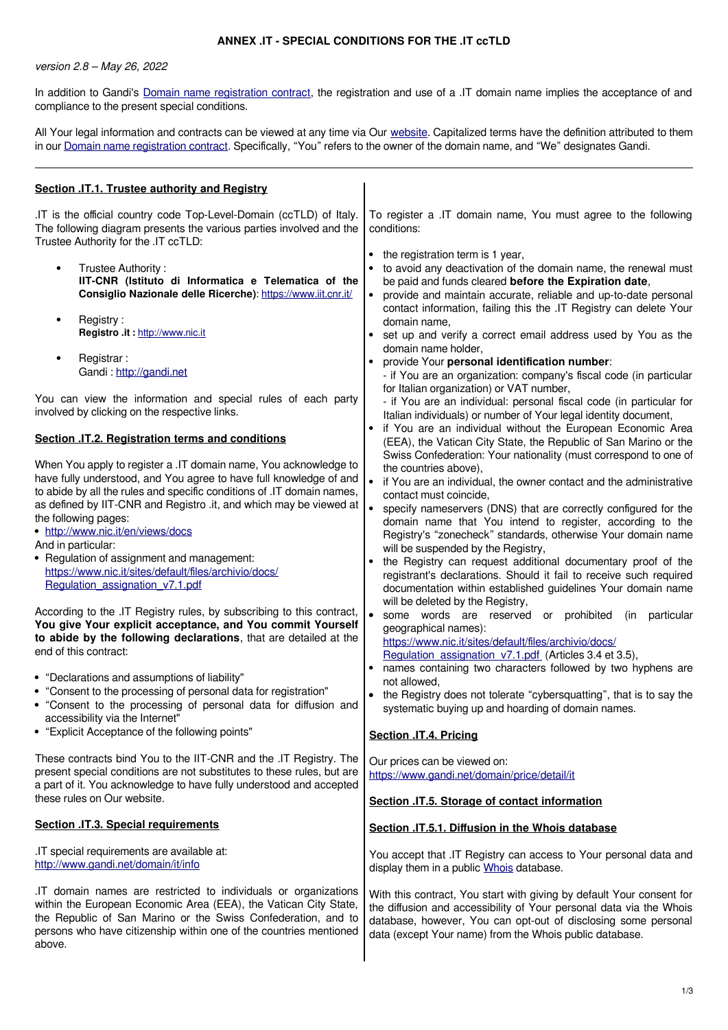## **ANNEX .IT - SPECIAL CONDITIONS FOR THE .IT ccTLD**

version 2.8 – May 26, 2022

In addition to Gandi's [Domain name registration contract,](https://www.gandi.net/en/contracts/terms-of-service) the registration and use of a .IT domain name implies the acceptance of and compliance to the present special conditions.

All Your legal information and contracts can be viewed at any time via Our [website.](http://www.gandi.net/) Capitalized terms have the definition attributed to them in our [Domain name registration contract.](https://www.gandi.net/en/contracts/terms-of-service) Specifically, "You" refers to the owner of the domain name, and "We" designates Gandi.

| Section .IT.1. Trustee authority and Registry                                                                                                                                                                                                                                                                                                                                                                                                                                                                                                                                                                                                                                                                                                                                                                                                                                                                                                               |                                                                                                                                                                                                                                                                                                                                                                                                                                                                                                                                                                                                                                                                                                                                                                                                                                                                                                                                                                                                                                                                                                                                                                                                                                                                                                                                                                                     |
|-------------------------------------------------------------------------------------------------------------------------------------------------------------------------------------------------------------------------------------------------------------------------------------------------------------------------------------------------------------------------------------------------------------------------------------------------------------------------------------------------------------------------------------------------------------------------------------------------------------------------------------------------------------------------------------------------------------------------------------------------------------------------------------------------------------------------------------------------------------------------------------------------------------------------------------------------------------|-------------------------------------------------------------------------------------------------------------------------------------------------------------------------------------------------------------------------------------------------------------------------------------------------------------------------------------------------------------------------------------------------------------------------------------------------------------------------------------------------------------------------------------------------------------------------------------------------------------------------------------------------------------------------------------------------------------------------------------------------------------------------------------------------------------------------------------------------------------------------------------------------------------------------------------------------------------------------------------------------------------------------------------------------------------------------------------------------------------------------------------------------------------------------------------------------------------------------------------------------------------------------------------------------------------------------------------------------------------------------------------|
| .IT is the official country code Top-Level-Domain (ccTLD) of Italy.<br>The following diagram presents the various parties involved and the<br>Trustee Authority for the .IT ccTLD:<br>Trustee Authority:<br>IIT-CNR (Istituto di Informatica e Telematica of the<br>Consiglio Nazionale delle Ricerche): https://www.iit.cnr.it/<br>Registry:<br>٠<br>Registro .it : http://www.nic.it<br>Registrar:<br>Gandi: http://gandi.net<br>You can view the information and special rules of each party<br>involved by clicking on the respective links.<br>Section .IT.2. Registration terms and conditions<br>When You apply to register a .IT domain name, You acknowledge to<br>have fully understood, and You agree to have full knowledge of and<br>to abide by all the rules and specific conditions of .IT domain names,<br>as defined by IIT-CNR and Registro .it, and which may be viewed at<br>the following pages:<br>• http://www.nic.it/en/views/docs | To register a .IT domain name, You must agree to the following<br>conditions:<br>the registration term is 1 year,<br>to avoid any deactivation of the domain name, the renewal must<br>be paid and funds cleared before the Expiration date,<br>$\bullet$<br>provide and maintain accurate, reliable and up-to-date personal<br>contact information, failing this the .IT Registry can delete Your<br>domain name,<br>• set up and verify a correct email address used by You as the<br>domain name holder,<br>provide Your personal identification number:<br>- if You are an organization: company's fiscal code (in particular<br>for Italian organization) or VAT number,<br>- if You are an individual: personal fiscal code (in particular for<br>Italian individuals) or number of Your legal identity document,<br>• if You are an individual without the European Economic Area<br>(EEA), the Vatican City State, the Republic of San Marino or the<br>Swiss Confederation: Your nationality (must correspond to one of<br>the countries above),<br>$\bullet$<br>if You are an individual, the owner contact and the administrative<br>contact must coincide,<br>$\bullet$<br>specify nameservers (DNS) that are correctly configured for the<br>domain name that You intend to register, according to the<br>Registry's "zonecheck" standards, otherwise Your domain name |
| And in particular:<br>• Regulation of assignment and management:<br>https://www.nic.it/sites/default/files/archivio/docs/<br>Regulation assignation v7.1.pdf<br>According to the .IT Registry rules, by subscribing to this contract,<br>You give Your explicit acceptance, and You commit Yourself<br>to abide by the following declarations, that are detailed at the<br>end of this contract:<br>• "Declarations and assumptions of liability"<br>• "Consent to the processing of personal data for registration"<br>• "Consent to the processing of personal data for diffusion and                                                                                                                                                                                                                                                                                                                                                                     | will be suspended by the Registry,<br>the Registry can request additional documentary proof of the<br>registrant's declarations. Should it fail to receive such required<br>documentation within established guidelines Your domain name<br>will be deleted by the Registry,<br>$\bullet$<br>some words are reserved or prohibited<br>particular<br>(in<br>geographical names):<br>https://www.nic.it/sites/default/files/archivio/docs/<br>Regulation_assignation_v7.1.pdf (Articles 3.4 et 3.5),<br>• names containing two characters followed by two hyphens are<br>not allowed,<br>• the Registry does not tolerate "cybersquatting", that is to say the<br>systematic buying up and hoarding of domain names.                                                                                                                                                                                                                                                                                                                                                                                                                                                                                                                                                                                                                                                                  |
| accessibility via the Internet"<br>• "Explicit Acceptance of the following points"                                                                                                                                                                                                                                                                                                                                                                                                                                                                                                                                                                                                                                                                                                                                                                                                                                                                          | Section .IT.4. Pricing                                                                                                                                                                                                                                                                                                                                                                                                                                                                                                                                                                                                                                                                                                                                                                                                                                                                                                                                                                                                                                                                                                                                                                                                                                                                                                                                                              |
| These contracts bind You to the IIT-CNR and the .IT Registry. The<br>present special conditions are not substitutes to these rules, but are<br>a part of it. You acknowledge to have fully understood and accepted<br>these rules on Our website.                                                                                                                                                                                                                                                                                                                                                                                                                                                                                                                                                                                                                                                                                                           | Our prices can be viewed on:<br>https://www.gandi.net/domain/price/detail/it<br>Section .IT.5. Storage of contact information                                                                                                                                                                                                                                                                                                                                                                                                                                                                                                                                                                                                                                                                                                                                                                                                                                                                                                                                                                                                                                                                                                                                                                                                                                                       |
| <b>Section .IT.3. Special requirements</b>                                                                                                                                                                                                                                                                                                                                                                                                                                                                                                                                                                                                                                                                                                                                                                                                                                                                                                                  | Section .IT.5.1. Diffusion in the Whois database                                                                                                                                                                                                                                                                                                                                                                                                                                                                                                                                                                                                                                                                                                                                                                                                                                                                                                                                                                                                                                                                                                                                                                                                                                                                                                                                    |
| .IT special requirements are available at:<br>http://www.gandi.net/domain/it/info                                                                                                                                                                                                                                                                                                                                                                                                                                                                                                                                                                                                                                                                                                                                                                                                                                                                           | You accept that .IT Registry can access to Your personal data and<br>display them in a public Whois database.                                                                                                                                                                                                                                                                                                                                                                                                                                                                                                                                                                                                                                                                                                                                                                                                                                                                                                                                                                                                                                                                                                                                                                                                                                                                       |
| IT domain names are restricted to individuals or organizations<br>within the European Economic Area (EEA), the Vatican City State,<br>the Republic of San Marino or the Swiss Confederation, and to<br>persons who have citizenship within one of the countries mentioned<br>above.                                                                                                                                                                                                                                                                                                                                                                                                                                                                                                                                                                                                                                                                         | With this contract, You start with giving by default Your consent for<br>the diffusion and accessibility of Your personal data via the Whois<br>database, however, You can opt-out of disclosing some personal<br>data (except Your name) from the Whois public database.                                                                                                                                                                                                                                                                                                                                                                                                                                                                                                                                                                                                                                                                                                                                                                                                                                                                                                                                                                                                                                                                                                           |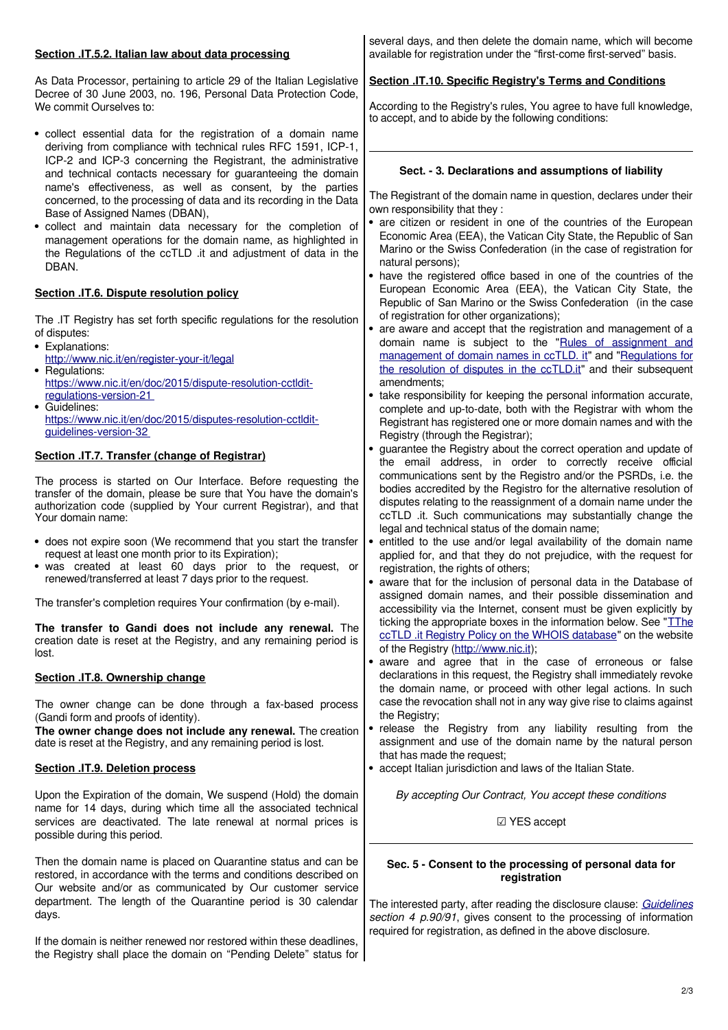| Section .IT.5.2. Italian law about data processing                                                                                                                                                                                                                                                                                                                                                                                                                                | several days, and then delete the domain name, which will become<br>available for registration under the "first-come first-served" basis.                                                                                                                                                                                                                                                                                                                                                                                                                                        |
|-----------------------------------------------------------------------------------------------------------------------------------------------------------------------------------------------------------------------------------------------------------------------------------------------------------------------------------------------------------------------------------------------------------------------------------------------------------------------------------|----------------------------------------------------------------------------------------------------------------------------------------------------------------------------------------------------------------------------------------------------------------------------------------------------------------------------------------------------------------------------------------------------------------------------------------------------------------------------------------------------------------------------------------------------------------------------------|
| As Data Processor, pertaining to article 29 of the Italian Legislative<br>Decree of 30 June 2003, no. 196, Personal Data Protection Code,<br>We commit Ourselves to:                                                                                                                                                                                                                                                                                                              | Section .IT.10. Specific Registry's Terms and Conditions<br>According to the Registry's rules, You agree to have full knowledge,<br>to accept, and to abide by the following conditions:                                                                                                                                                                                                                                                                                                                                                                                         |
| • collect essential data for the registration of a domain name<br>deriving from compliance with technical rules RFC 1591, ICP-1,<br>ICP-2 and ICP-3 concerning the Registrant, the administrative                                                                                                                                                                                                                                                                                 |                                                                                                                                                                                                                                                                                                                                                                                                                                                                                                                                                                                  |
| and technical contacts necessary for guaranteeing the domain<br>name's effectiveness, as well as consent, by the parties<br>concerned, to the processing of data and its recording in the Data<br>Base of Assigned Names (DBAN),<br>· collect and maintain data necessary for the completion of<br>management operations for the domain name, as highlighted in<br>the Regulations of the ccTLD .it and adjustment of data in the<br>DBAN.                                        | Sect. - 3. Declarations and assumptions of liability<br>The Registrant of the domain name in question, declares under their<br>own responsibility that they:<br>• are citizen or resident in one of the countries of the European<br>Economic Area (EEA), the Vatican City State, the Republic of San<br>Marino or the Swiss Confederation (in the case of registration for<br>natural persons);                                                                                                                                                                                 |
| Section .IT.6. Dispute resolution policy                                                                                                                                                                                                                                                                                                                                                                                                                                          | • have the registered office based in one of the countries of the<br>European Economic Area (EEA), the Vatican City State, the<br>Republic of San Marino or the Swiss Confederation (in the case                                                                                                                                                                                                                                                                                                                                                                                 |
| The .IT Registry has set forth specific regulations for the resolution<br>of disputes:<br>• Explanations:<br>http://www.nic.it/en/register-your-it/legal<br>• Regulations:<br>https://www.nic.it/en/doc/2015/dispute-resolution-cctldit-<br>regulations-version-21<br>• Guidelines:<br>https://www.nic.it/en/doc/2015/disputes-resolution-cctldit-<br>guidelines-version-32                                                                                                       | of registration for other organizations);<br>• are aware and accept that the registration and management of a<br>domain name is subject to the "Rules of assignment and<br>management of domain names in ccTLD. it" and "Regulations for<br>the resolution of disputes in the ccTLD.it" and their subsequent<br>amendments;<br>• take responsibility for keeping the personal information accurate,<br>complete and up-to-date, both with the Registrar with whom the<br>Registrant has registered one or more domain names and with the<br>Registry (through the Registrar);    |
| Section .IT.7. Transfer (change of Registrar)                                                                                                                                                                                                                                                                                                                                                                                                                                     | • guarantee the Registry about the correct operation and update of<br>the email address, in order to correctly receive official                                                                                                                                                                                                                                                                                                                                                                                                                                                  |
| The process is started on Our Interface. Before requesting the<br>transfer of the domain, please be sure that You have the domain's<br>authorization code (supplied by Your current Registrar), and that<br>Your domain name:<br>• does not expire soon (We recommend that you start the transfer<br>request at least one month prior to its Expiration);<br>• was created at least 60 days prior to the request, or<br>renewed/transferred at least 7 days prior to the request. | communications sent by the Registro and/or the PSRDs, i.e. the<br>bodies accredited by the Registro for the alternative resolution of<br>disputes relating to the reassignment of a domain name under the<br>ccTLD .it. Such communications may substantially change the<br>legal and technical status of the domain name;<br>• entitled to the use and/or legal availability of the domain name<br>applied for, and that they do not prejudice, with the request for<br>registration, the rights of others;<br>aware that for the inclusion of personal data in the Database of |
| The transfer's completion requires Your confirmation (by e-mail).                                                                                                                                                                                                                                                                                                                                                                                                                 | assigned domain names, and their possible dissemination and<br>accessibility via the Internet, consent must be given explicitly by                                                                                                                                                                                                                                                                                                                                                                                                                                               |
| The transfer to Gandi does not include any renewal. The<br>creation date is reset at the Registry, and any remaining period is<br>lost.                                                                                                                                                                                                                                                                                                                                           | ticking the appropriate boxes in the information below. See "TThe<br>ccTLD .it Registry Policy on the WHOIS database" on the website<br>of the Registry (http://www.nic.it);                                                                                                                                                                                                                                                                                                                                                                                                     |
| Section .IT.8. Ownership change                                                                                                                                                                                                                                                                                                                                                                                                                                                   | • aware and agree that in the case of erroneous or false<br>declarations in this request, the Registry shall immediately revoke<br>the domain name, or proceed with other legal actions. In such                                                                                                                                                                                                                                                                                                                                                                                 |
| The owner change can be done through a fax-based process<br>(Gandi form and proofs of identity).<br>The owner change does not include any renewal. The creation<br>date is reset at the Registry, and any remaining period is lost.                                                                                                                                                                                                                                               | case the revocation shall not in any way give rise to claims against<br>the Registry;<br>• release the Registry from any liability resulting from the<br>assignment and use of the domain name by the natural person<br>that has made the request;                                                                                                                                                                                                                                                                                                                               |
| <b>Section .IT.9. Deletion process</b>                                                                                                                                                                                                                                                                                                                                                                                                                                            | • accept Italian jurisdiction and laws of the Italian State.                                                                                                                                                                                                                                                                                                                                                                                                                                                                                                                     |
| Upon the Expiration of the domain, We suspend (Hold) the domain<br>name for 14 days, during which time all the associated technical<br>services are deactivated. The late renewal at normal prices is<br>possible during this period.                                                                                                                                                                                                                                             | By accepting Our Contract, You accept these conditions<br>☑ YES accept                                                                                                                                                                                                                                                                                                                                                                                                                                                                                                           |
| Then the domain name is placed on Quarantine status and can be<br>restored, in accordance with the terms and conditions described on<br>Our website and/or as communicated by Our customer service<br>department. The length of the Quarantine period is 30 calendar<br>days.                                                                                                                                                                                                     | Sec. 5 - Consent to the processing of personal data for<br>registration<br>The interested party, after reading the disclosure clause: Guidelines<br>section 4 p.90/91, gives consent to the processing of information                                                                                                                                                                                                                                                                                                                                                            |
| If the domain is neither renewed nor restored within these deadlines,                                                                                                                                                                                                                                                                                                                                                                                                             | required for registration, as defined in the above disclosure.                                                                                                                                                                                                                                                                                                                                                                                                                                                                                                                   |

the Registry shall place the domain on "Pending Delete" status for